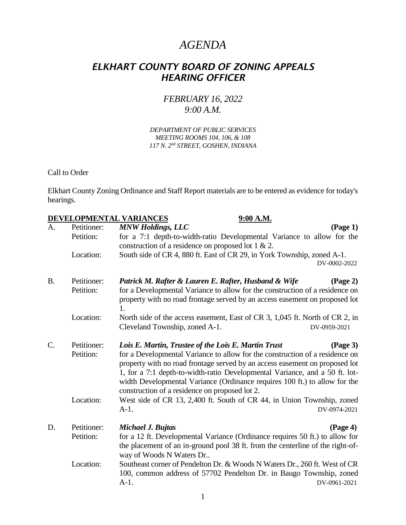## *AGENDA*

## *ELKHART COUNTY BOARD OF ZONING APPEALS HEARING OFFICER*

## *FEBRUARY 16, 2022 9:00 A.M.*

*DEPARTMENT OF PUBLIC SERVICES MEETING ROOMS 104, 106, & 108 117 N. 2nd STREET, GOSHEN, INDIANA*

Call to Order

Elkhart County Zoning Ordinance and Staff Report materials are to be entered as evidence for today's hearings.

|                 |             | DEVELOPMENTAL VARIANCES<br>9:00 A.M.                                                                                                                                                                                                       |
|-----------------|-------------|--------------------------------------------------------------------------------------------------------------------------------------------------------------------------------------------------------------------------------------------|
| A.              | Petitioner: | <b>MNW Holdings, LLC</b><br>$(\text{Page } 1)$                                                                                                                                                                                             |
|                 | Petition:   | for a 7:1 depth-to-width-ratio Developmental Variance to allow for the                                                                                                                                                                     |
|                 |             | construction of a residence on proposed lot 1 & 2.                                                                                                                                                                                         |
|                 | Location:   | South side of CR 4, 880 ft. East of CR 29, in York Township, zoned A-1.                                                                                                                                                                    |
|                 |             | DV-0002-2022                                                                                                                                                                                                                               |
| <b>B.</b>       | Petitioner: | Patrick M. Rafter & Lauren E. Rafter, Husband & Wife<br>$(\text{Page } 2)$                                                                                                                                                                 |
|                 | Petition:   | for a Developmental Variance to allow for the construction of a residence on<br>property with no road frontage served by an access easement on proposed lot<br>1.                                                                          |
|                 | Location:   | North side of the access easement, East of CR 3, 1,045 ft. North of CR 2, in                                                                                                                                                               |
|                 |             | Cleveland Township, zoned A-1.<br>DV-0959-2021                                                                                                                                                                                             |
| $\mathcal{C}$ . | Petitioner: | Lois E. Martin, Trustee of the Lois E. Martin Trust<br>(Page 3)                                                                                                                                                                            |
|                 | Petition:   | for a Developmental Variance to allow for the construction of a residence on<br>property with no road frontage served by an access easement on proposed lot<br>1, for a 7:1 depth-to-width-ratio Developmental Variance, and a 50 ft. lot- |
|                 |             | width Developmental Variance (Ordinance requires 100 ft.) to allow for the<br>construction of a residence on proposed lot 2.                                                                                                               |
|                 | Location:   | West side of CR 13, 2,400 ft. South of CR 44, in Union Township, zoned<br>$A-1.$<br>DV-0974-2021                                                                                                                                           |
| D.              | Petitioner: | $(\text{Page } 4)$<br>Michael J. Bujtas                                                                                                                                                                                                    |
|                 | Petition:   | for a 12 ft. Developmental Variance (Ordinance requires 50 ft.) to allow for<br>the placement of an in-ground pool 38 ft. from the centerline of the right-of-<br>way of Woods N Waters Dr                                                 |
|                 | Location:   | Southeast corner of Pendelton Dr. & Woods N Waters Dr., 260 ft. West of CR<br>100, common address of 57702 Pendelton Dr. in Baugo Township, zoned<br>$A-1.$<br>DV-0961-2021                                                                |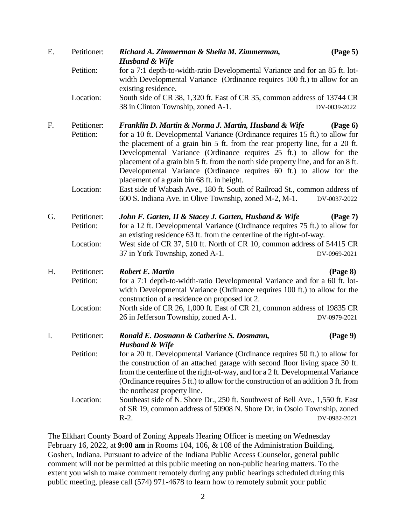| E. | Petitioner:              | $(\text{Page } 5)$<br>Richard A. Zimmerman & Sheila M. Zimmerman,<br><b>Husband &amp; Wife</b>                                                                                                                                                                                                                                                                                                                                                                                                                               |
|----|--------------------------|------------------------------------------------------------------------------------------------------------------------------------------------------------------------------------------------------------------------------------------------------------------------------------------------------------------------------------------------------------------------------------------------------------------------------------------------------------------------------------------------------------------------------|
|    | Petition:                | for a 7:1 depth-to-width-ratio Developmental Variance and for an 85 ft. lot-<br>width Developmental Variance (Ordinance requires 100 ft.) to allow for an<br>existing residence.                                                                                                                                                                                                                                                                                                                                             |
|    | Location:                | South side of CR 38, 1,320 ft. East of CR 35, common address of 13744 CR<br>38 in Clinton Township, zoned A-1.<br>DV-0039-2022                                                                                                                                                                                                                                                                                                                                                                                               |
| F. | Petitioner:<br>Petition: | Franklin D. Martin & Norma J. Martin, Husband & Wife<br>$(\text{Page } 6)$<br>for a 10 ft. Developmental Variance (Ordinance requires 15 ft.) to allow for<br>the placement of a grain bin 5 ft. from the rear property line, for a 20 ft.<br>Developmental Variance (Ordinance requires 25 ft.) to allow for the<br>placement of a grain bin 5 ft. from the north side property line, and for an 8 ft.<br>Developmental Variance (Ordinance requires 60 ft.) to allow for the<br>placement of a grain bin 68 ft. in height. |
|    | Location:                | East side of Wabash Ave., 180 ft. South of Railroad St., common address of<br>600 S. Indiana Ave. in Olive Township, zoned M-2, M-1.<br>DV-0037-2022                                                                                                                                                                                                                                                                                                                                                                         |
| G. | Petitioner:<br>Petition: | John F. Garten, II & Stacey J. Garten, Husband & Wife<br>(Page 7)<br>for a 12 ft. Developmental Variance (Ordinance requires 75 ft.) to allow for<br>an existing residence 63 ft. from the centerline of the right-of-way.                                                                                                                                                                                                                                                                                                   |
|    | Location:                | West side of CR 37, 510 ft. North of CR 10, common address of 54415 CR<br>37 in York Township, zoned A-1.<br>DV-0969-2021                                                                                                                                                                                                                                                                                                                                                                                                    |
| H. | Petitioner:<br>Petition: | <b>Robert E. Martin</b><br>(Page 8)<br>for a 7:1 depth-to-width-ratio Developmental Variance and for a 60 ft. lot-<br>width Developmental Variance (Ordinance requires 100 ft.) to allow for the<br>construction of a residence on proposed lot 2.                                                                                                                                                                                                                                                                           |
|    | Location:                | North side of CR 26, 1,000 ft. East of CR 21, common address of 19835 CR<br>26 in Jefferson Township, zoned A-1.<br>DV-0979-2021                                                                                                                                                                                                                                                                                                                                                                                             |
| I. | Petitioner:              | Ronald E. Dosmann & Catherine S. Dosmann,<br>(Page 9)<br><b>Husband &amp; Wife</b>                                                                                                                                                                                                                                                                                                                                                                                                                                           |
|    | Petition:                | for a 20 ft. Developmental Variance (Ordinance requires 50 ft.) to allow for<br>the construction of an attached garage with second floor living space 30 ft.<br>from the centerline of the right-of-way, and for a 2 ft. Developmental Variance<br>(Ordinance requires 5 ft.) to allow for the construction of an addition 3 ft. from<br>the northeast property line.                                                                                                                                                        |
|    | Location:                | Southeast side of N. Shore Dr., 250 ft. Southwest of Bell Ave., 1,550 ft. East<br>of SR 19, common address of 50908 N. Shore Dr. in Osolo Township, zoned<br>$R-2$ .<br>DV-0982-2021                                                                                                                                                                                                                                                                                                                                         |

The Elkhart County Board of Zoning Appeals Hearing Officer is meeting on Wednesday February 16, 2022, at **9:00 am** in Rooms 104, 106, & 108 of the Administration Building, Goshen, Indiana. Pursuant to advice of the Indiana Public Access Counselor, general public comment will not be permitted at this public meeting on non-public hearing matters. To the extent you wish to make comment remotely during any public hearings scheduled during this public meeting, please call (574) 971-4678 to learn how to remotely submit your public